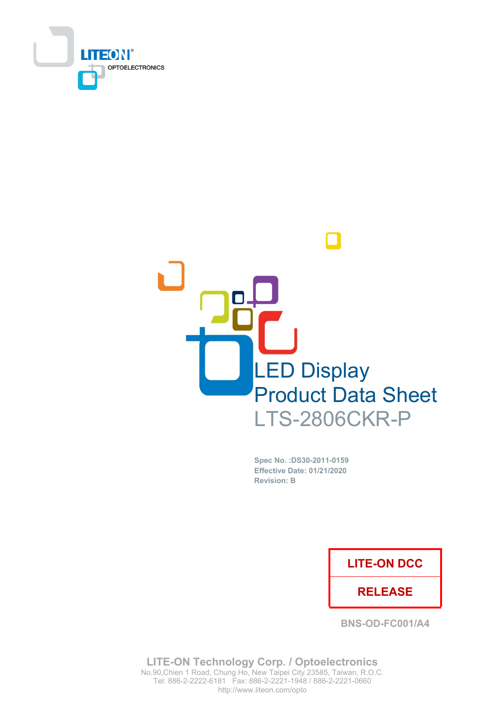



Spec No. : DS30-2011-0159 **Effective Date: 01/21/2020 Revision: B** 

### **LITE-ON DCC**

### **RELEASE**

**BNS-OD-FC001/A4** 

**LITE-ON Technology Corp. / Optoelectronics** No.90, Chien 1 Road, Chung Ho, New Taipei City 23585, Taiwan, R.O.C. Tel: 886-2-2222-6181 Fax: 886-2-2221-1948 / 886-2-2221-0660 http://www.liteon.com/opto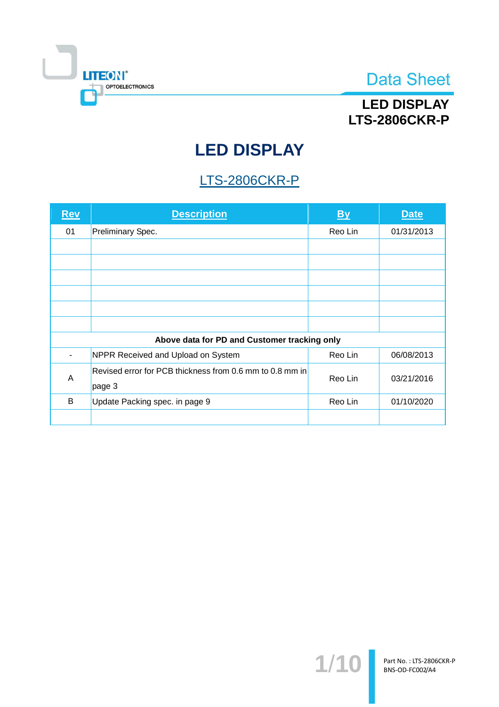

## **LED DISPLAY LTS-2806CKR-P**

# **LED DISPLAY**

## **LTS-2806CKR-P**

| <b>Rev</b>                                   | <b>Description</b>                                       | $\mathbf{B}$ | <b>Date</b> |  |  |
|----------------------------------------------|----------------------------------------------------------|--------------|-------------|--|--|
| 01                                           | Preliminary Spec.                                        | Reo Lin      | 01/31/2013  |  |  |
|                                              |                                                          |              |             |  |  |
|                                              |                                                          |              |             |  |  |
|                                              |                                                          |              |             |  |  |
|                                              |                                                          |              |             |  |  |
|                                              |                                                          |              |             |  |  |
|                                              |                                                          |              |             |  |  |
| Above data for PD and Customer tracking only |                                                          |              |             |  |  |
|                                              | NPPR Received and Upload on System                       | Reo Lin      | 06/08/2013  |  |  |
| A                                            | Revised error for PCB thickness from 0.6 mm to 0.8 mm in | Reo Lin      | 03/21/2016  |  |  |
|                                              | page 3                                                   |              |             |  |  |
| B                                            | Update Packing spec. in page 9                           | Reo Lin      | 01/10/2020  |  |  |
|                                              |                                                          |              |             |  |  |

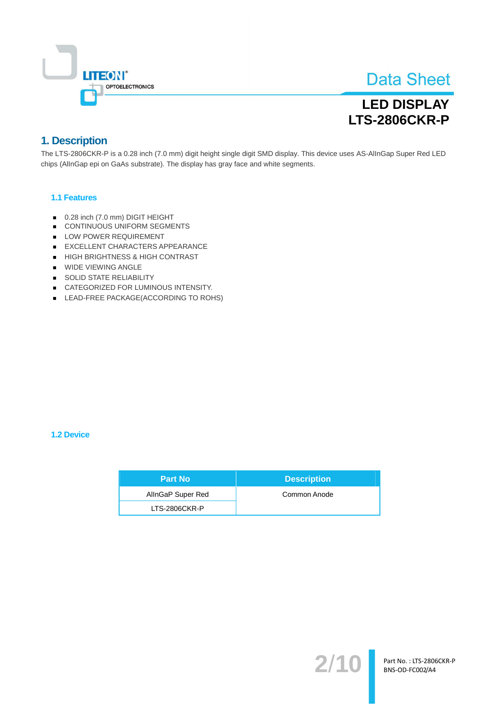

## **LED DISPLAY LTS-2806CKR-P**

### 1. Description

The LTS-2806CKR-P is a 0.28 inch (7.0 mm) digit height single digit SMD display. This device uses AS-AllnGap Super Red LED chips (AllnGap epi on GaAs substrate). The display has gray face and white segments.

#### 1.1 Features

- 0.28 inch (7.0 mm) DIGIT HEIGHT
- CONTINUOUS UNIFORM SEGMENTS
- LOW POWER REQUIREMENT
- EXCELLENT CHARACTERS APPEARANCE
- HIGH BRIGHTNESS & HIGH CONTRAST
- WIDE VIEWING ANGLE
- SOLID STATE RELIABILITY
- CATEGORIZED FOR LUMINOUS INTENSITY.
- LEAD-FREE PACKAGE(ACCORDING TO ROHS)

#### 1.2 Device

| <b>Part No</b>    | <b>Description</b> |  |
|-------------------|--------------------|--|
| AllnGaP Super Red | Common Anode       |  |
| LTS-2806CKR-P     |                    |  |

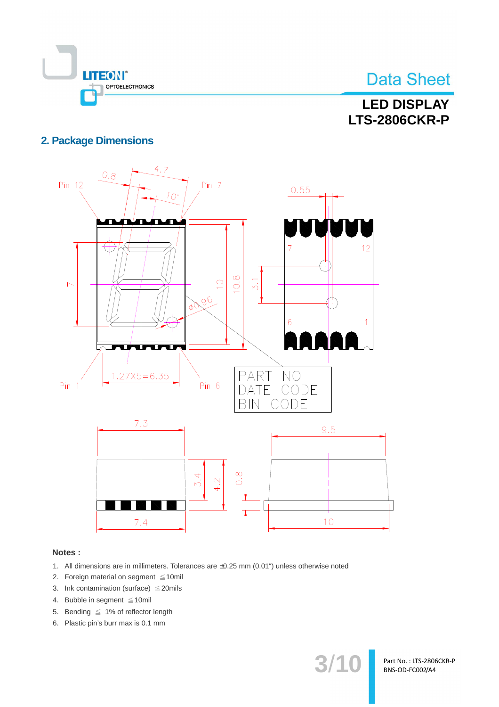

## **LED DISPLAY LTS-2806CKR-P**

### **2. Package Dimensions**



#### Notes:

- 1. All dimensions are in millimeters. Tolerances are ±0.25 mm (0.01") unless otherwise noted
- 2. Foreign material on segment  $\leq 10$ mil
- 3. Ink contamination (surface)  $\leq$  20mils
- 4. Bubble in segment ≤10mil
- 5. Bending  $\leq 1\%$  of reflector length
- 6. Plastic pin's burr max is 0.1 mm

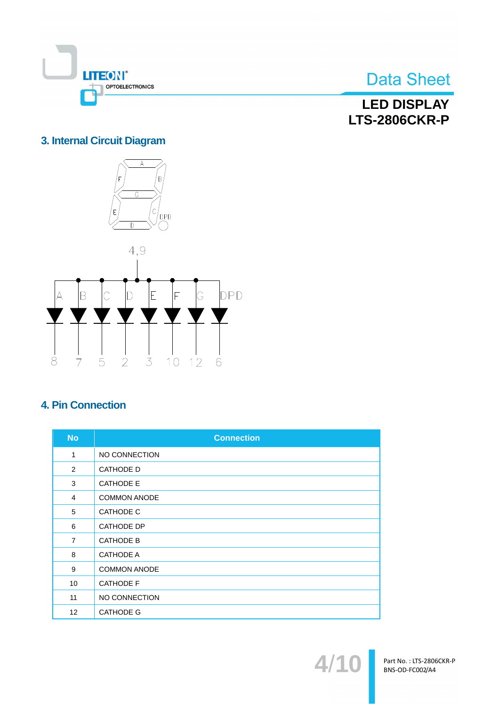

**LED DISPLAY LTS-2806CKR-P** 

### 3. Internal Circuit Diagram



### **4. Pin Connection**

| <b>No</b>         | <b>Connection</b>   |
|-------------------|---------------------|
| 1                 | NO CONNECTION       |
| 2                 | <b>CATHODE D</b>    |
| 3                 | <b>CATHODE E</b>    |
| $\overline{4}$    | <b>COMMON ANODE</b> |
| 5                 | <b>CATHODE C</b>    |
| 6                 | <b>CATHODE DP</b>   |
| $\overline{7}$    | <b>CATHODE B</b>    |
| 8                 | <b>CATHODE A</b>    |
| 9                 | <b>COMMON ANODE</b> |
| 10                | <b>CATHODE F</b>    |
| 11                | NO CONNECTION       |
| $12 \overline{ }$ | <b>CATHODE G</b>    |

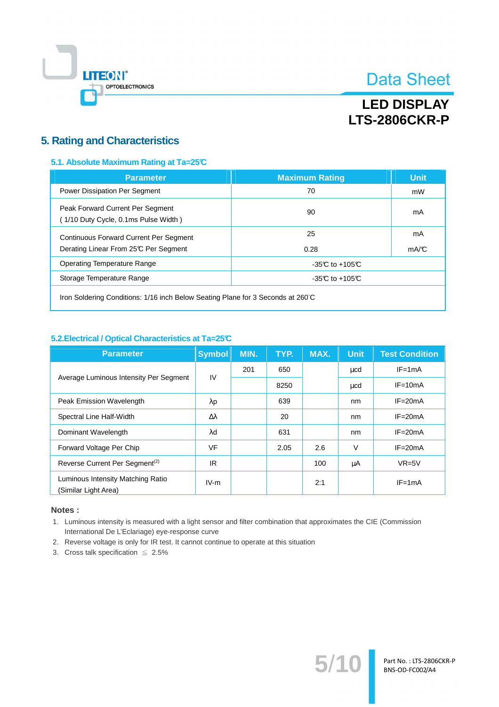

## **LED DISPLAY LTS-2806CKR-P**

### **5. Rating and Characteristics**

#### 5.1. Absolute Maximum Rating at Ta=25°C

| <b>Parameter</b>                                                                       | <b>Maximum Rating</b> | <b>Unit</b> |
|----------------------------------------------------------------------------------------|-----------------------|-------------|
| Power Dissipation Per Segment                                                          | 70                    | mW          |
| Peak Forward Current Per Segment<br>(1/10 Duty Cycle, 0.1ms Pulse Width)               | 90                    | mA          |
| <b>Continuous Forward Current Per Segment</b><br>Derating Linear From 25°C Per Segment | 25<br>0.28            | mA<br>mA/C  |
| <b>Operating Temperature Range</b>                                                     | -35 $C$ to +105 $C$   |             |
| Storage Temperature Range                                                              | $-35C$ to $+105C$     |             |
|                                                                                        |                       |             |

Iron Soldering Conditions: 1/16 inch Below Seating Plane for 3 Seconds at 260°C

#### 5.2. Electrical / Optical Characteristics at Ta=25°C

| <b>Parameter</b>                                          | <b>Symbol</b> | MIN. | TYP. | MAX. | <b>Unit</b> | <b>Test Condition</b> |
|-----------------------------------------------------------|---------------|------|------|------|-------------|-----------------------|
|                                                           | IV            | 201  | 650  |      | ucd         | $IF = 1mA$            |
| Average Luminous Intensity Per Segment                    |               |      | 8250 |      | μcd         | $IF = 10mA$           |
| Peak Emission Wavelength                                  | $\lambda$ p   |      | 639  |      | nm          | $IF = 20mA$           |
| Spectral Line Half-Width                                  | Δλ            |      | 20   |      | nm          | $IF = 20mA$           |
| Dominant Wavelength                                       | λd            |      | 631  |      | nm          | $IF = 20mA$           |
| Forward Voltage Per Chip                                  | <b>VF</b>     |      | 2.05 | 2.6  | V           | $IF = 20mA$           |
| Reverse Current Per Segment <sup>(2)</sup>                | IR            |      |      | 100  | μA          | $VR=5V$               |
| Luminous Intensity Matching Ratio<br>(Similar Light Area) | $IV-m$        |      |      | 2:1  |             | $IF = 1mA$            |

#### Notes:

1. Luminous intensity is measured with a light sensor and filter combination that approximates the CIE (Commission International De L'Eclariage) eye-response curve

 $5/$ 

- 2. Reverse voltage is only for IR test. It cannot continue to operate at this situation
- 3. Cross talk specification  $\leq 2.5\%$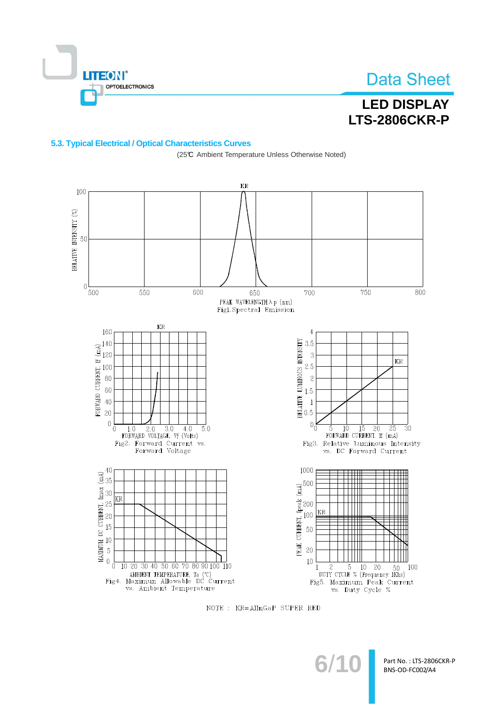

## **LED DISPLAY LTS-2806CKR-P**

#### 5.3. Typical Electrical / Optical Characteristics Curves

(25℃ Ambient Temperature Unless Otherwise Noted)



NOTE : KR=AllnGaP SUPER RED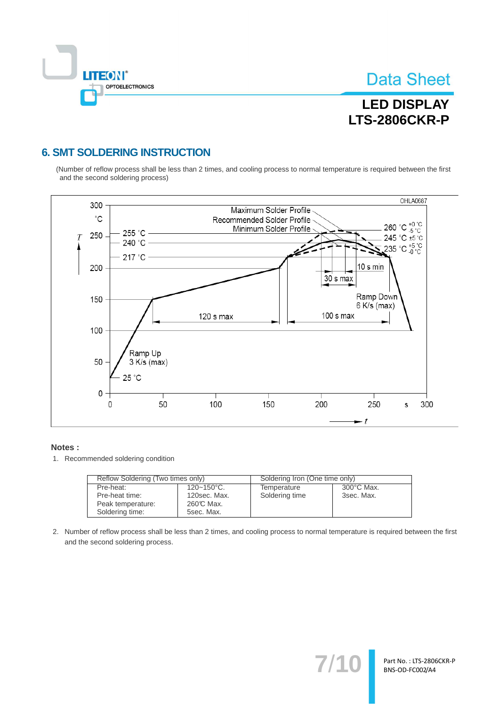

## **LED DISPLAY LTS-2806CKR-P**

### **6. SMT SOLDERING INSTRUCTION**

(Number of reflow process shall be less than 2 times, and cooling process to normal temperature is required between the first and the second soldering process)



#### Notes:

1. Recommended soldering condition

| Reflow Soldering (Two times only) |                 | Soldering Iron (One time only) |            |  |
|-----------------------------------|-----------------|--------------------------------|------------|--|
| Pre-heat:                         | $120 - 150$ °C. | Temperature                    | 300°C Max. |  |
| Pre-heat time:                    | 120sec. Max.    | Soldering time                 | 3sec. Max. |  |
| Peak temperature:                 | 260℃ Max.       |                                |            |  |
| Soldering time:                   | 5sec. Max.      |                                |            |  |

2. Number of reflow process shall be less than 2 times, and cooling process to normal temperature is required between the first and the second soldering process.

 $7'$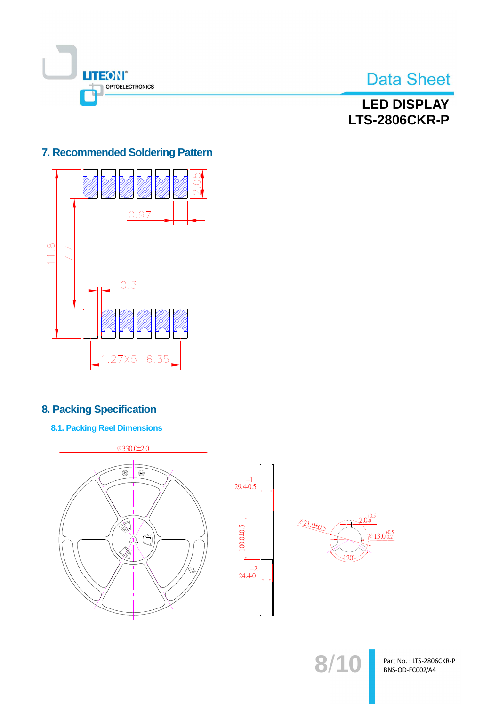

### **LED DISPLAY LTS-2806CKR-P**

### 7. Recommended Soldering Pattern



### **8. Packing Specification**

**8.1. Packing Reel Dimensions** 



Part No.: LTS-2806CKR-P BNS-OD-FC002/A4

 $8/1($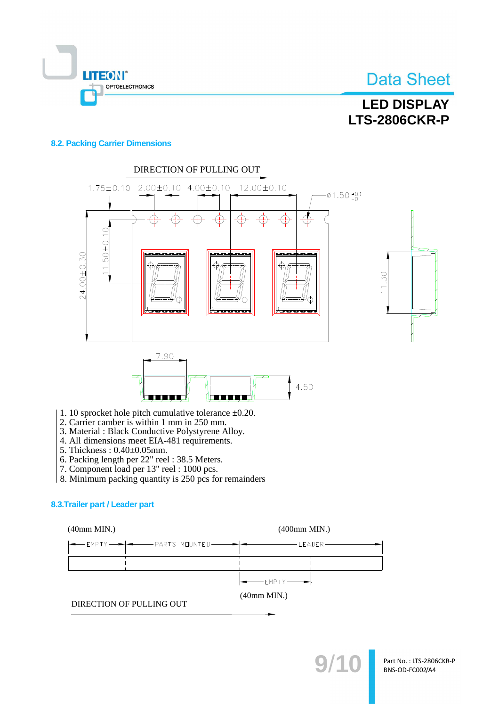

## **LED DISPLAY LTS-2806CKR-P**

#### **8.2. Packing Carrier Dimensions**



- 1. 10 sprocket hole pitch cumulative tolerance  $\pm 0.20$ .
- 2. Carrier camber is within 1 mm in 250 mm.
- 3. Material : Black Conductive Polystyrene Alloy.
- 4. All dimensions meet EIA-481 requirements.
- 5. Thickness: 0.40±0.05mm.
- 
- 6. Packing length per 22" reel : 38.5 Meters.<br>7. Component load per 13" reel : 1000 pcs.
- 8. Minimum packing quantity is 250 pcs for remainders

#### 8.3. Trailer part / Leader part

 $(40mm MIN.)$ 

 $(400mm MIN.)$ 



 $(40mm MIN.)$ 

DIRECTION OF PULLING OUT